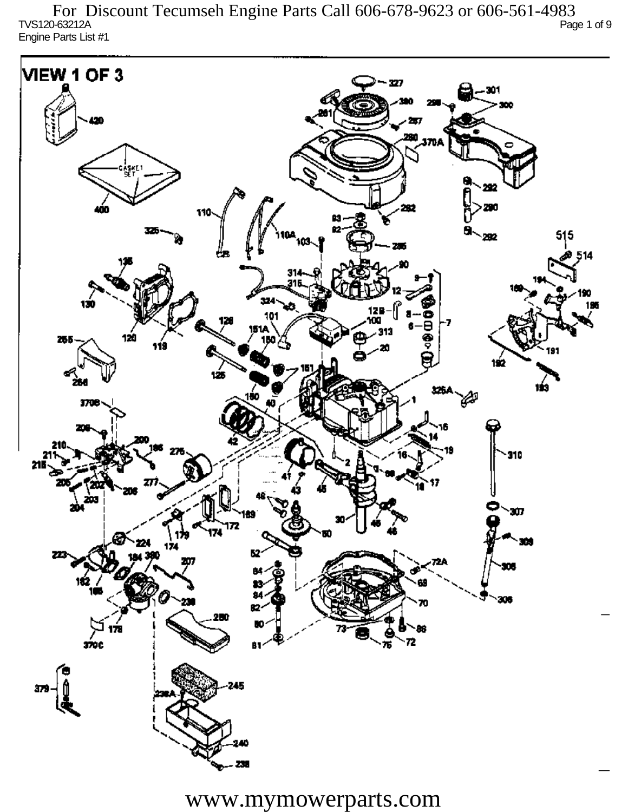TVS120-63212A Page 1 of 9 Engine Parts List #1 For Discount Tecumseh Engine Parts Call 606-678-9623 or 606-561-4983

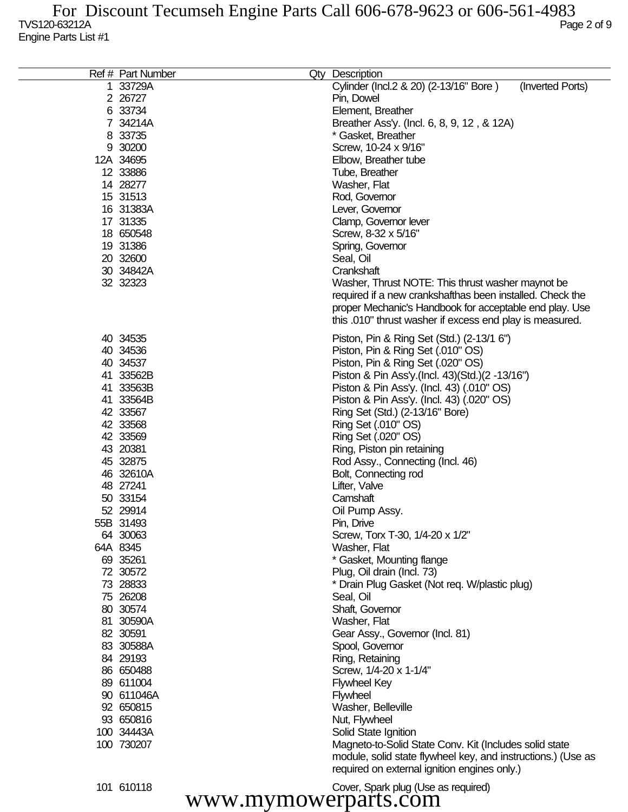| Ref # Part Number | Qty Description                                                  |
|-------------------|------------------------------------------------------------------|
| 1 33729A          | Cylinder (Incl.2 & 20) (2-13/16" Bore)<br>(Inverted Ports)       |
| 2 2 6727          | Pin, Dowel                                                       |
| 6 33734           | Element, Breather                                                |
| 7 34214A          |                                                                  |
| 8 33735           | Breather Ass'y. (Incl. 6, 8, 9, 12, & 12A)<br>* Gasket, Breather |
| 9 30200           |                                                                  |
|                   | Screw, 10-24 x 9/16"                                             |
| 12A 34695         | Elbow, Breather tube                                             |
| 12 33886          | Tube, Breather                                                   |
| 14 28277          | Washer, Flat                                                     |
| 15 31513          | Rod, Governor                                                    |
| 16 31383A         | Lever, Governor                                                  |
| 17 31335          | Clamp, Governor lever                                            |
| 18 650548         | Screw, 8-32 x 5/16"                                              |
| 19 31386          | Spring, Governor                                                 |
| 20 32600          | Seal, Oil                                                        |
| 30 34842A         | Crankshaft                                                       |
| 32 32323          | Washer, Thrust NOTE: This thrust washer maynot be                |
|                   | required if a new crankshafthas been installed. Check the        |
|                   | proper Mechanic's Handbook for acceptable end play. Use          |
|                   | this .010" thrust washer if excess end play is measured.         |
| 40 34535          | Piston, Pin & Ring Set (Std.) (2-13/1 6")                        |
| 40 34536          | Piston, Pin & Ring Set (.010" OS)                                |
| 40 34537          | Piston, Pin & Ring Set (.020" OS)                                |
| 41 33562B         | Piston & Pin Ass'y (Incl. 43) (Std.) (2 -13/16")                 |
| 41 33563B         | Piston & Pin Ass'y. (Incl. 43) (.010" OS)                        |
| 41 33564B         | Piston & Pin Ass'y. (Incl. 43) (.020" OS)                        |
| 42 33567          | Ring Set (Std.) (2-13/16" Bore)                                  |
| 42 33568          | Ring Set (.010" OS)                                              |
| 42 33569          | Ring Set (.020" OS)                                              |
| 43 20381          | Ring, Piston pin retaining                                       |
| 45 32875          | Rod Assy., Connecting (Incl. 46)                                 |
| 46 32610A         | Bolt, Connecting rod                                             |
| 48 27241          | Lifter, Valve                                                    |
| 50 33154          | Camshaft                                                         |
| 52 29914          | Oil Pump Assy.                                                   |
| 55B 31493         | Pin, Drive                                                       |
| 64 30063          | Screw, Torx T-30, 1/4-20 x 1/2"                                  |
| 64A 8345          | Washer, Flat                                                     |
| 69 35261          | * Gasket, Mounting flange                                        |
| 72 30572          | Plug, Oil drain (Incl. 73)                                       |
| 73 28833          | * Drain Plug Gasket (Not req. W/plastic plug)                    |
| 75 26208          | Seal, Oil                                                        |
| 80 30574          | Shaft, Governor                                                  |
| 81 30590A         | Washer, Flat                                                     |
| 82 30591          | Gear Assy., Governor (Incl. 81)                                  |
| 83 30588A         | Spool, Governor                                                  |
| 84 29193          | Ring, Retaining                                                  |
| 86 650488         | Screw, 1/4-20 x 1-1/4"                                           |
| 89 611004         | <b>Flywheel Key</b>                                              |
| 90 611046A        | Flywheel                                                         |
| 92 650815         | Washer, Belleville                                               |
| 93 650816         | Nut, Flywheel                                                    |
| 100 34443A        | Solid State Ignition                                             |
| 100 730207        | Magneto-to-Solid State Conv. Kit (Includes solid state           |
|                   | module, solid state flywheel key, and instructions.) (Use as     |
|                   | required on external ignition engines only.)                     |

610118 Cover, Spark plug (Use as required) www.mymowerparts.com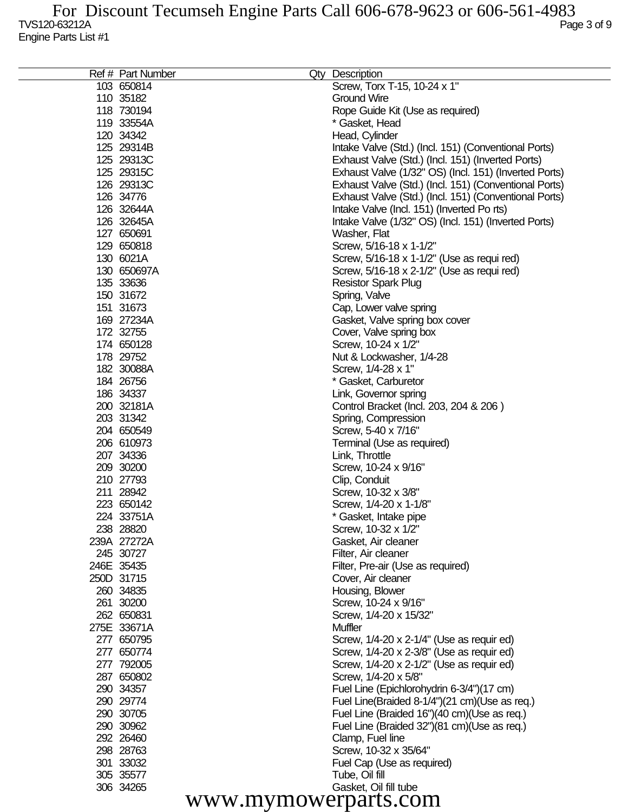|            | Ref # Part Number      | Qty Description                                       |
|------------|------------------------|-------------------------------------------------------|
|            | 103 650814             | Screw, Torx T-15, 10-24 x 1"                          |
|            | 110 35182              | <b>Ground Wire</b>                                    |
|            | 118 730194             | Rope Guide Kit (Use as required)                      |
|            | 119 33554A             | * Gasket, Head                                        |
|            | 120 34342              | Head, Cylinder                                        |
|            | 125 29314B             | Intake Valve (Std.) (Incl. 151) (Conventional Ports)  |
|            | 125 29313C             | Exhaust Valve (Std.) (Incl. 151) (Inverted Ports)     |
|            | 125 29315C             | Exhaust Valve (1/32" OS) (Incl. 151) (Inverted Ports) |
|            | 126 29313C             | Exhaust Valve (Std.) (Incl. 151) (Conventional Ports) |
|            | 126 34776              | Exhaust Valve (Std.) (Incl. 151) (Conventional Ports) |
|            | 126 32644A             | Intake Valve (Incl. 151) (Inverted Ports)             |
|            | 126 32645A             | Intake Valve (1/32" OS) (Incl. 151) (Inverted Ports)  |
|            | 127 650691             | Washer, Flat                                          |
|            | 129 650818             | Screw, 5/16-18 x 1-1/2"                               |
|            | 130 6021A              | Screw, 5/16-18 x 1-1/2" (Use as requi red)            |
|            | 130 650697A            | Screw, 5/16-18 x 2-1/2" (Use as requi red)            |
|            | 135 33636              | <b>Resistor Spark Plug</b>                            |
|            | 150 31672              | Spring, Valve                                         |
|            | 151 31673              | Cap, Lower valve spring                               |
|            | 169 27234A             | Gasket, Valve spring box cover                        |
|            | 172 32755              | Cover, Valve spring box                               |
|            | 174 650128             | Screw, 10-24 x 1/2"                                   |
|            | 178 29752              | Nut & Lockwasher, 1/4-28                              |
|            | 182 30088A             | Screw, 1/4-28 x 1"                                    |
|            | 184 26756              | * Gasket, Carburetor                                  |
|            | 186 34337              | Link, Governor spring                                 |
|            | 200 32181A             | Control Bracket (Incl. 203, 204 & 206)                |
|            | 203 31342              | Spring, Compression                                   |
|            | 204 650549             | Screw, 5-40 x 7/16"                                   |
|            | 206 610973             | Terminal (Use as required)                            |
|            | 207 34336<br>209 30200 | Link, Throttle                                        |
|            | 210 27793              | Screw, 10-24 x 9/16"                                  |
|            | 211 28942              | Clip, Conduit<br>Screw, 10-32 x 3/8"                  |
|            | 223 650142             | Screw, 1/4-20 x 1-1/8"                                |
|            | 224 33751A             | * Gasket, Intake pipe                                 |
|            | 238 28820              | Screw, 10-32 x 1/2"                                   |
|            | 239A 27272A            | Gasket, Air cleaner                                   |
|            | 245 30727              | Filter, Air cleaner                                   |
| 246E 35435 |                        | Filter, Pre-air (Use as required)                     |
| 250D 31715 |                        | Cover, Air cleaner                                    |
|            | 260 34835              | Housing, Blower                                       |
|            | 261 30200              | Screw, 10-24 x 9/16"                                  |
|            | 262 650831             | Screw, 1/4-20 x 15/32"                                |
|            | 275E 33671A            | <b>Muffler</b>                                        |
|            | 277 650795             | Screw, 1/4-20 x 2-1/4" (Use as requir ed)             |
|            | 277 650774             | Screw, 1/4-20 x 2-3/8" (Use as requir ed)             |
|            | 277 792005             | Screw, 1/4-20 x 2-1/2" (Use as requir ed)             |
|            | 287 650802             | Screw, 1/4-20 x 5/8"                                  |
|            | 290 34357              | Fuel Line (Epichlorohydrin 6-3/4")(17 cm)             |
|            | 290 29774              | Fuel Line(Braided 8-1/4")(21 cm)(Use as req.)         |
|            | 290 30705              | Fuel Line (Braided 16")(40 cm)(Use as req.)           |
|            | 290 30962              | Fuel Line (Braided 32")(81 cm)(Use as req.)           |
|            | 292 26460              | Clamp, Fuel line                                      |
|            | 298 28763              | Screw, 10-32 x 35/64"                                 |
|            | 301 33032              | Fuel Cap (Use as required)                            |
|            | 305 35577              | Tube, Oil fill                                        |
|            | 306 34265              | Gasket, Oil fill tube                                 |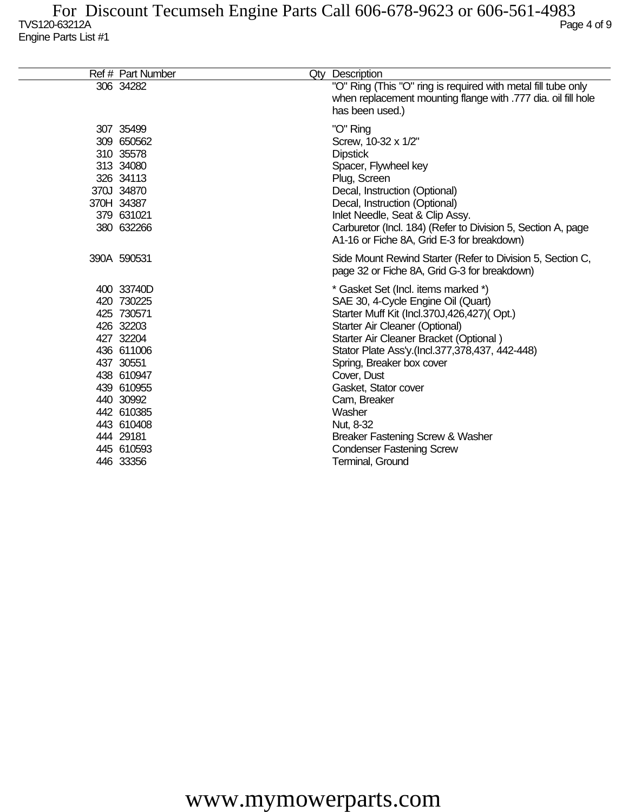| Ref # Part Number                                                                                                                                                                                        | Qty Description                                                                                                                                                                                                                                                                                                                                                                                                                                                     |
|----------------------------------------------------------------------------------------------------------------------------------------------------------------------------------------------------------|---------------------------------------------------------------------------------------------------------------------------------------------------------------------------------------------------------------------------------------------------------------------------------------------------------------------------------------------------------------------------------------------------------------------------------------------------------------------|
| 306 34282                                                                                                                                                                                                | "O" Ring (This "O" ring is required with metal fill tube only<br>when replacement mounting flange with .777 dia. oil fill hole<br>has been used.)                                                                                                                                                                                                                                                                                                                   |
| 307 35499<br>309 650562<br>310 35578<br>313 34080<br>326 34113<br>370J 34870<br>370H 34387<br>379 631021<br>380 632266                                                                                   | "O" Ring<br>Screw, 10-32 x 1/2"<br><b>Dipstick</b><br>Spacer, Flywheel key<br>Plug, Screen<br>Decal, Instruction (Optional)<br>Decal, Instruction (Optional)<br>Inlet Needle, Seat & Clip Assy.<br>Carburetor (Incl. 184) (Refer to Division 5, Section A, page<br>A1-16 or Fiche 8A, Grid E-3 for breakdown)                                                                                                                                                       |
| 390A 590531                                                                                                                                                                                              | Side Mount Rewind Starter (Refer to Division 5, Section C,<br>page 32 or Fiche 8A, Grid G-3 for breakdown)                                                                                                                                                                                                                                                                                                                                                          |
| 400 33740D<br>420 730225<br>425 730571<br>426 32203<br>427 32204<br>436 611006<br>437 30551<br>438 610947<br>439 610955<br>440 30992<br>442 610385<br>443 610408<br>444 29181<br>445 610593<br>446 33356 | * Gasket Set (Incl. items marked *)<br>SAE 30, 4-Cycle Engine Oil (Quart)<br>Starter Muff Kit (Incl.370J,426,427)(Opt.)<br>Starter Air Cleaner (Optional)<br>Starter Air Cleaner Bracket (Optional)<br>Stator Plate Ass'y (Incl.377,378,437, 442-448)<br>Spring, Breaker box cover<br>Cover, Dust<br>Gasket, Stator cover<br>Cam, Breaker<br>Washer<br>Nut, 8-32<br>Breaker Fastening Screw & Washer<br><b>Condenser Fastening Screw</b><br><b>Terminal, Ground</b> |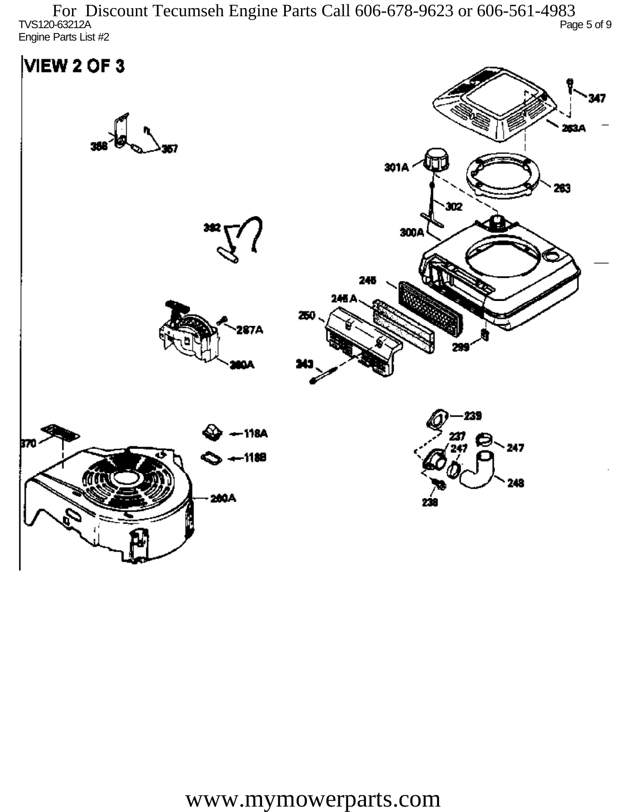TVS120-63212A Page 5 of 9 Engine Parts List #2 For Discount Tecumseh Engine Parts Call 606-678-9623 or 606-561-4983

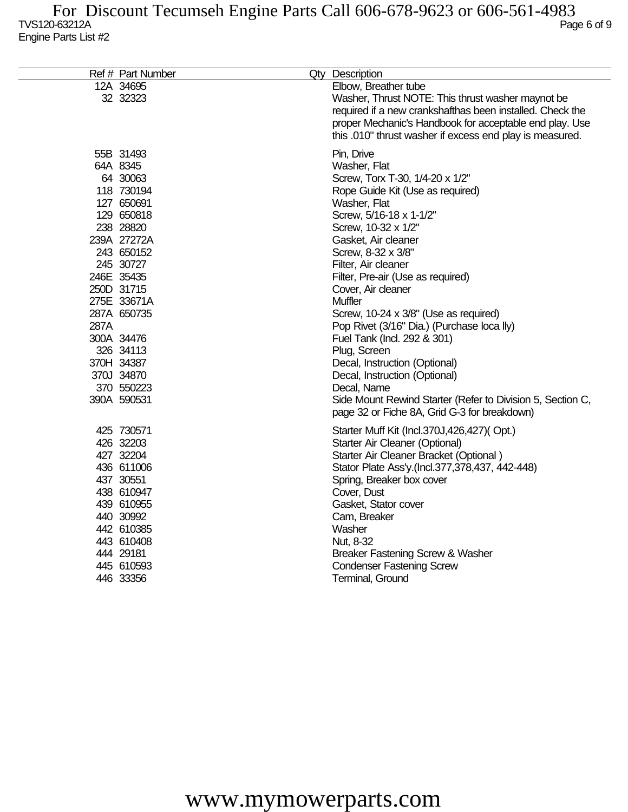|      | Ref # Part Number | Qty Description                                            |
|------|-------------------|------------------------------------------------------------|
|      | 12A 34695         | Elbow, Breather tube                                       |
|      | 32 32323          | Washer, Thrust NOTE: This thrust washer maynot be          |
|      |                   | required if a new crankshafthas been installed. Check the  |
|      |                   | proper Mechanic's Handbook for acceptable end play. Use    |
|      |                   | this .010" thrust washer if excess end play is measured.   |
|      | 55B 31493         | Pin, Drive                                                 |
|      | 64A 8345          | Washer, Flat                                               |
|      | 64 30063          | Screw, Torx T-30, 1/4-20 x 1/2"                            |
|      | 118 730194        | Rope Guide Kit (Use as required)                           |
|      | 127 650691        | Washer, Flat                                               |
|      | 129 650818        | Screw, 5/16-18 x 1-1/2"                                    |
|      | 238 28820         | Screw, 10-32 x 1/2"                                        |
|      | 239A 27272A       | Gasket, Air cleaner                                        |
|      | 243 650152        | Screw, 8-32 x 3/8"                                         |
|      | 245 30727         | Filter, Air cleaner                                        |
|      | 246E 35435        | Filter, Pre-air (Use as required)                          |
|      | 250D 31715        | Cover, Air cleaner                                         |
|      | 275E 33671A       | <b>Muffler</b>                                             |
|      | 287A 650735       | Screw, 10-24 x 3/8" (Use as required)                      |
| 287A |                   | Pop Rivet (3/16" Dia.) (Purchase loca lly)                 |
|      | 300A 34476        | Fuel Tank (Incl. 292 & 301)                                |
|      | 326 34113         | Plug, Screen                                               |
|      | 370H 34387        | Decal, Instruction (Optional)                              |
|      | 370J 34870        | Decal, Instruction (Optional)                              |
|      | 370 550223        | Decal, Name                                                |
|      | 390A 590531       | Side Mount Rewind Starter (Refer to Division 5, Section C, |
|      |                   | page 32 or Fiche 8A, Grid G-3 for breakdown)               |
|      | 425 730571        | Starter Muff Kit (Incl.370J,426,427)(Opt.)                 |
|      | 426 32203         | Starter Air Cleaner (Optional)                             |
|      | 427 32204         | Starter Air Cleaner Bracket (Optional)                     |
|      | 436 611006        | Stator Plate Ass'y.(Incl.377,378,437, 442-448)             |
|      | 437 30551         | Spring, Breaker box cover                                  |
|      | 438 610947        | Cover, Dust                                                |
|      | 439 610955        | Gasket, Stator cover                                       |
|      | 440 30992         | Cam, Breaker                                               |
|      | 442 610385        | Washer                                                     |
|      | 443 610408        | Nut, 8-32                                                  |
|      | 444 29181         | Breaker Fastening Screw & Washer                           |
|      | 445 610593        | <b>Condenser Fastening Screw</b>                           |
|      | 446 33356         | Terminal, Ground                                           |
|      |                   |                                                            |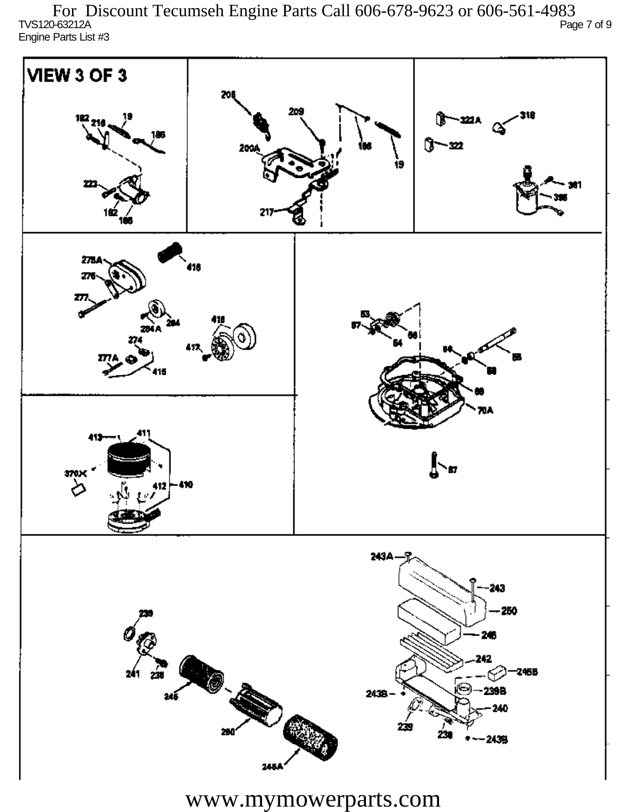TVS120-63212A Page 7 of 9 Engine Parts List #3 For Discount Tecumseh Engine Parts Call 606-678-9623 or 606-561-4983

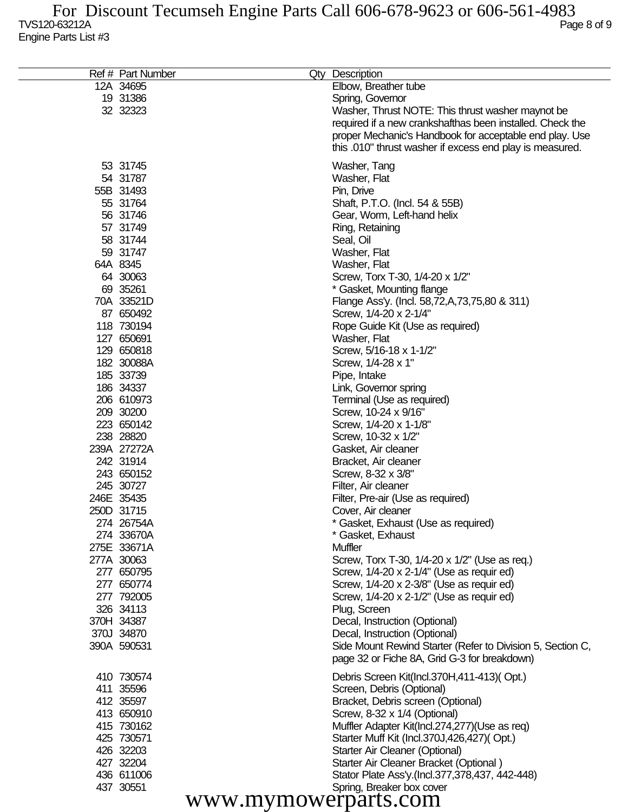| Ref # Part Number        |                      | Qty Description                                                         |
|--------------------------|----------------------|-------------------------------------------------------------------------|
| 12A 34695                |                      | Elbow, Breather tube                                                    |
| 19 31386                 |                      | Spring, Governor                                                        |
| 32 32323                 |                      | Washer, Thrust NOTE: This thrust washer maynot be                       |
|                          |                      | required if a new crankshafthas been installed. Check the               |
|                          |                      | proper Mechanic's Handbook for acceptable end play. Use                 |
|                          |                      | this .010" thrust washer if excess end play is measured.                |
| 53 31745                 |                      | Washer, Tang                                                            |
| 54 31787                 |                      | Washer, Flat                                                            |
| 55B 31493                |                      | Pin, Drive                                                              |
| 55 31764                 |                      | Shaft, P.T.O. (Incl. 54 & 55B)                                          |
| 56 31746                 |                      | Gear, Worm, Left-hand helix                                             |
| 57 31749                 |                      | Ring, Retaining                                                         |
| 58 31744                 |                      | Seal, Oil                                                               |
| 59 31747                 |                      | Washer, Flat                                                            |
| 64A 8345                 |                      | Washer, Flat                                                            |
| 64 30063                 |                      | Screw, Torx T-30, 1/4-20 x 1/2"                                         |
| 69 35261                 |                      | * Gasket, Mounting flange                                               |
| 70A 33521D               |                      | Flange Ass'y. (Incl. 58,72,A,73,75,80 & 311)                            |
| 87 650492                |                      | Screw, 1/4-20 x 2-1/4"                                                  |
| 118 730194               |                      | Rope Guide Kit (Use as required)                                        |
| 127 650691               |                      | Washer, Flat                                                            |
| 129 650818               |                      | Screw, 5/16-18 x 1-1/2"                                                 |
| 182 30088A               |                      | Screw, 1/4-28 x 1"                                                      |
| 185 33739<br>186 34337   |                      | Pipe, Intake                                                            |
| 206 610973               |                      | Link, Governor spring<br>Terminal (Use as required)                     |
| 209 30200                |                      | Screw, 10-24 x 9/16"                                                    |
| 223 650142               |                      | Screw, 1/4-20 x 1-1/8"                                                  |
| 238 28820                |                      | Screw, 10-32 x 1/2"                                                     |
| 239A 27272A              |                      | Gasket, Air cleaner                                                     |
| 242 31914                |                      | Bracket, Air cleaner                                                    |
| 243 650152               |                      | Screw, 8-32 x 3/8"                                                      |
| 245 30727                |                      | Filter, Air cleaner                                                     |
| 246E 35435               |                      | Filter, Pre-air (Use as required)                                       |
| 250D 31715               |                      | Cover, Air cleaner                                                      |
| 274 26754A               |                      | * Gasket, Exhaust (Use as required)                                     |
| 274 33670A               |                      | * Gasket, Exhaust                                                       |
| 275E 33671A              |                      | Muffler                                                                 |
| 277A 30063               |                      | Screw, Torx T-30, 1/4-20 x 1/2" (Use as req.)                           |
| 277 650795               |                      | Screw, 1/4-20 x 2-1/4" (Use as requir ed)                               |
| 277 650774               |                      | Screw, 1/4-20 x 2-3/8" (Use as requir ed)                               |
| 277 792005               |                      | Screw, 1/4-20 x 2-1/2" (Use as requir ed)                               |
| 326 34113                |                      | Plug, Screen                                                            |
| 370H 34387<br>370J 34870 |                      | Decal, Instruction (Optional)<br>Decal, Instruction (Optional)          |
| 390A 590531              |                      | Side Mount Rewind Starter (Refer to Division 5, Section C,              |
|                          |                      | page 32 or Fiche 8A, Grid G-3 for breakdown)                            |
| 410 730574               |                      |                                                                         |
| 411 35596                |                      | Debris Screen Kit(Incl.370H,411-413)(Opt.)<br>Screen, Debris (Optional) |
| 412 35597                |                      | Bracket, Debris screen (Optional)                                       |
| 413 650910               |                      | Screw, 8-32 x 1/4 (Optional)                                            |
| 415 730162               |                      | Muffler Adapter Kit(Incl.274,277)(Use as req)                           |
| 425 730571               |                      | Starter Muff Kit (Incl.370J,426,427)(Opt.)                              |
| 426 32203                |                      | Starter Air Cleaner (Optional)                                          |
| 427 32204                |                      | Starter Air Cleaner Bracket (Optional)                                  |
| 436 611006               |                      | Stator Plate Ass'y.(Incl.377,378,437, 442-448)                          |
| 437 30551                |                      | Spring, Breaker box cover                                               |
|                          | www.mymowerparts.com |                                                                         |